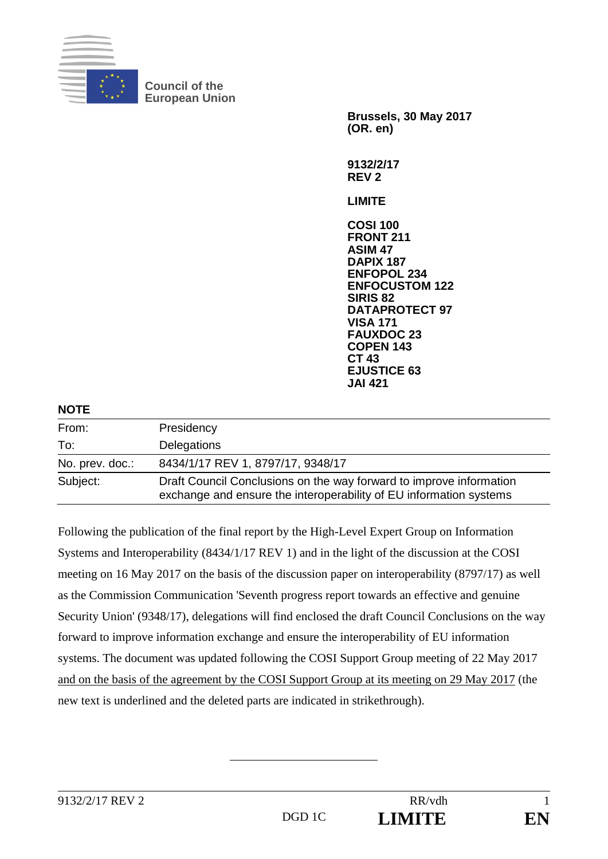

**Council of the European Union** 

> **Brussels, 30 May 2017 (OR. en) 9132/2/17 REV 2 LIMITE COSI 100 FRONT 211 ASIM 47 DAPIX 187 ENFOPOL 234 ENFOCUSTOM 122 SIRIS 82 DATAPROTECT 97 VISA 171 FAUXDOC 23 COPEN 143 CT 43 EJUSTICE 63 JAI 421**

| <b>NOTE</b>     |                                                                                                                                           |
|-----------------|-------------------------------------------------------------------------------------------------------------------------------------------|
| From:           | Presidency                                                                                                                                |
| To:             | Delegations                                                                                                                               |
| No. prev. doc.: | 8434/1/17 REV 1, 8797/17, 9348/17                                                                                                         |
| Subject:        | Draft Council Conclusions on the way forward to improve information<br>exchange and ensure the interoperability of EU information systems |

Following the publication of the final report by the High-Level Expert Group on Information Systems and Interoperability (8434/1/17 REV 1) and in the light of the discussion at the COSI meeting on 16 May 2017 on the basis of the discussion paper on interoperability (8797/17) as well as the Commission Communication 'Seventh progress report towards an effective and genuine Security Union' (9348/17), delegations will find enclosed the draft Council Conclusions on the way forward to improve information exchange and ensure the interoperability of EU information systems. The document was updated following the COSI Support Group meeting of 22 May 2017 and on the basis of the agreement by the COSI Support Group at its meeting on 29 May 2017 (the new text is underlined and the deleted parts are indicated in strikethrough).

9132/2/17 REV 2 RR/vdb 1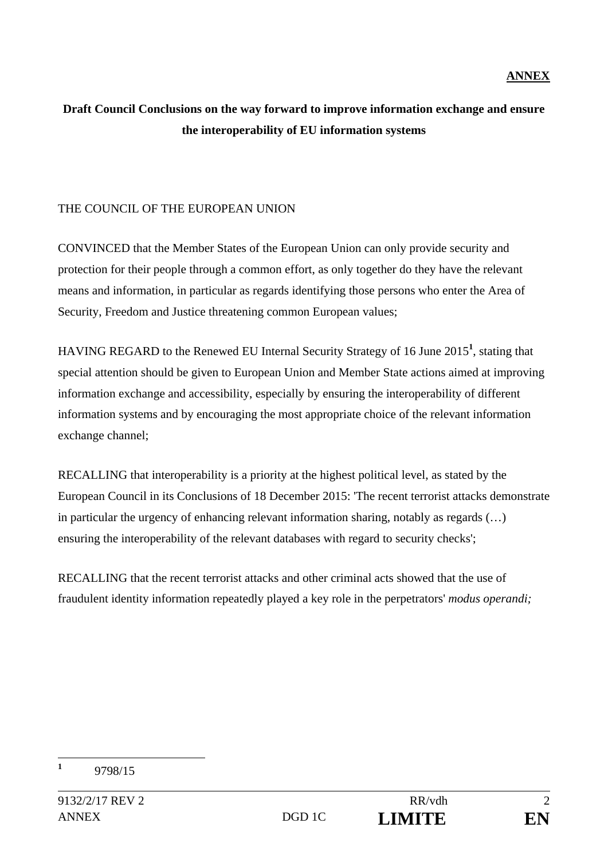## **ANNEX**

## **Draft Council Conclusions on the way forward to improve information exchange and ensure the interoperability of EU information systems**

## THE COUNCIL OF THE EUROPEAN UNION

CONVINCED that the Member States of the European Union can only provide security and protection for their people through a common effort, as only together do they have the relevant means and information, in particular as regards identifying those persons who enter the Area of Security, Freedom and Justice threatening common European values;

HAVING REGARD to the Renewed EU Internal Security Strategy of 16 June 2015**<sup>1</sup>** , stating that special attention should be given to European Union and Member State actions aimed at improving information exchange and accessibility, especially by ensuring the interoperability of different information systems and by encouraging the most appropriate choice of the relevant information exchange channel;

RECALLING that interoperability is a priority at the highest political level, as stated by the European Council in its Conclusions of 18 December 2015: 'The recent terrorist attacks demonstrate in particular the urgency of enhancing relevant information sharing, notably as regards (…) ensuring the interoperability of the relevant databases with regard to security checks';

RECALLING that the recent terrorist attacks and other criminal acts showed that the use of fraudulent identity information repeatedly played a key role in the perpetrators' *modus operandi;* 

 **1** 9798/15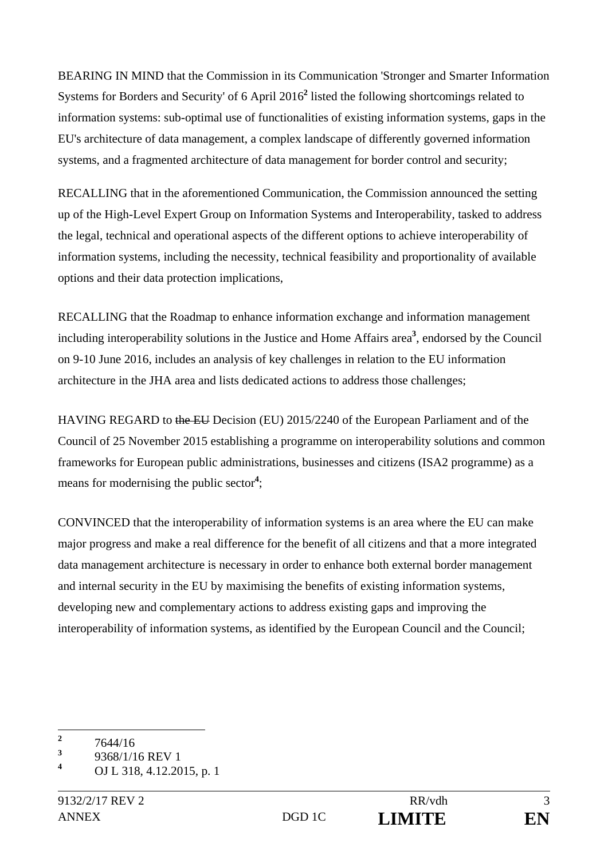BEARING IN MIND that the Commission in its Communication 'Stronger and Smarter Information Systems for Borders and Security' of 6 April 2016<sup>2</sup> listed the following shortcomings related to information systems: sub-optimal use of functionalities of existing information systems, gaps in the EU's architecture of data management, a complex landscape of differently governed information systems, and a fragmented architecture of data management for border control and security;

RECALLING that in the aforementioned Communication, the Commission announced the setting up of the High-Level Expert Group on Information Systems and Interoperability, tasked to address the legal, technical and operational aspects of the different options to achieve interoperability of information systems, including the necessity, technical feasibility and proportionality of available options and their data protection implications,

RECALLING that the Roadmap to enhance information exchange and information management including interoperability solutions in the Justice and Home Affairs area**<sup>3</sup>** , endorsed by the Council on 9-10 June 2016, includes an analysis of key challenges in relation to the EU information architecture in the JHA area and lists dedicated actions to address those challenges;

HAVING REGARD to the EU Decision (EU) 2015/2240 of the European Parliament and of the Council of 25 November 2015 establishing a programme on interoperability solutions and common frameworks for European public administrations, businesses and citizens (ISA2 programme) as a means for modernising the public sector**<sup>4</sup>** ;

CONVINCED that the interoperability of information systems is an area where the EU can make major progress and make a real difference for the benefit of all citizens and that a more integrated data management architecture is necessary in order to enhance both external border management and internal security in the EU by maximising the benefits of existing information systems, developing new and complementary actions to address existing gaps and improving the interoperability of information systems, as identified by the European Council and the Council;

 **2** 7644/16

**<sup>3</sup>** 9368/1/16 REV 1

**<sup>4</sup>** OJ L 318, 4.12.2015, p. 1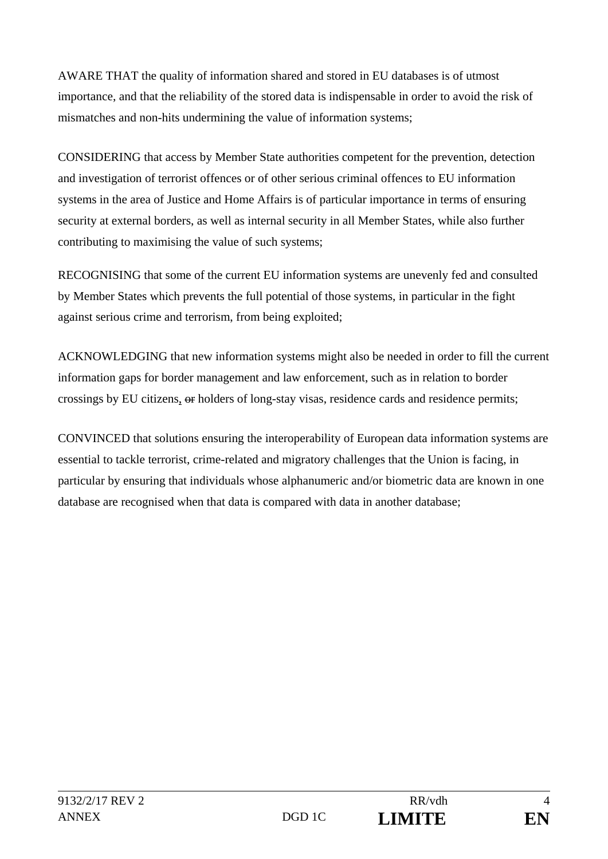AWARE THAT the quality of information shared and stored in EU databases is of utmost importance, and that the reliability of the stored data is indispensable in order to avoid the risk of mismatches and non-hits undermining the value of information systems;

CONSIDERING that access by Member State authorities competent for the prevention, detection and investigation of terrorist offences or of other serious criminal offences to EU information systems in the area of Justice and Home Affairs is of particular importance in terms of ensuring security at external borders, as well as internal security in all Member States, while also further contributing to maximising the value of such systems;

RECOGNISING that some of the current EU information systems are unevenly fed and consulted by Member States which prevents the full potential of those systems, in particular in the fight against serious crime and terrorism, from being exploited;

ACKNOWLEDGING that new information systems might also be needed in order to fill the current information gaps for border management and law enforcement, such as in relation to border crossings by EU citizens, or holders of long-stay visas, residence cards and residence permits;

CONVINCED that solutions ensuring the interoperability of European data information systems are essential to tackle terrorist, crime-related and migratory challenges that the Union is facing, in particular by ensuring that individuals whose alphanumeric and/or biometric data are known in one database are recognised when that data is compared with data in another database;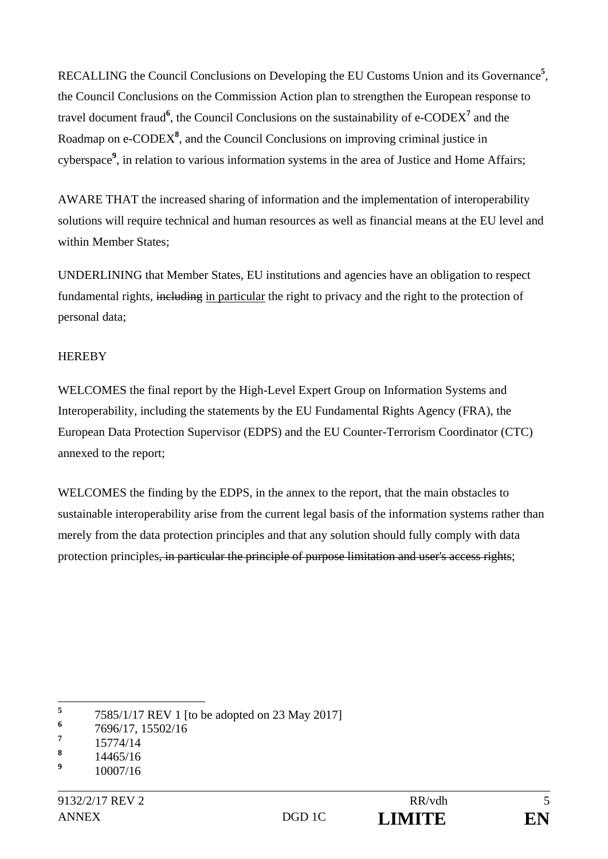RECALLING the Council Conclusions on Developing the EU Customs Union and its Governance**<sup>5</sup>** , the Council Conclusions on the Commission Action plan to strengthen the European response to travel document fraud<sup>6</sup>, the Council Conclusions on the sustainability of e-CODEX<sup>7</sup> and the Roadmap on e-CODEX<sup>8</sup>, and the Council Conclusions on improving criminal justice in cyberspace<sup>9</sup>, in relation to various information systems in the area of Justice and Home Affairs;

AWARE THAT the increased sharing of information and the implementation of interoperability solutions will require technical and human resources as well as financial means at the EU level and within Member States;

UNDERLINING that Member States, EU institutions and agencies have an obligation to respect fundamental rights, including in particular the right to privacy and the right to the protection of personal data;

## **HEREBY**

WELCOMES the final report by the High-Level Expert Group on Information Systems and Interoperability, including the statements by the EU Fundamental Rights Agency (FRA), the European Data Protection Supervisor (EDPS) and the EU Counter-Terrorism Coordinator (CTC) annexed to the report;

WELCOMES the finding by the EDPS, in the annex to the report, that the main obstacles to sustainable interoperability arise from the current legal basis of the information systems rather than merely from the data protection principles and that any solution should fully comply with data protection principles, in particular the principle of purpose limitation and user's access rights;

 **5** 7585/1/17 REV 1 [to be adopted on 23 May 2017]

**<sup>6</sup>** 7696/17, 15502/16

**<sup>7</sup>** 15774/14

**<sup>8</sup>** 14465/16

**<sup>9</sup>** 10007/16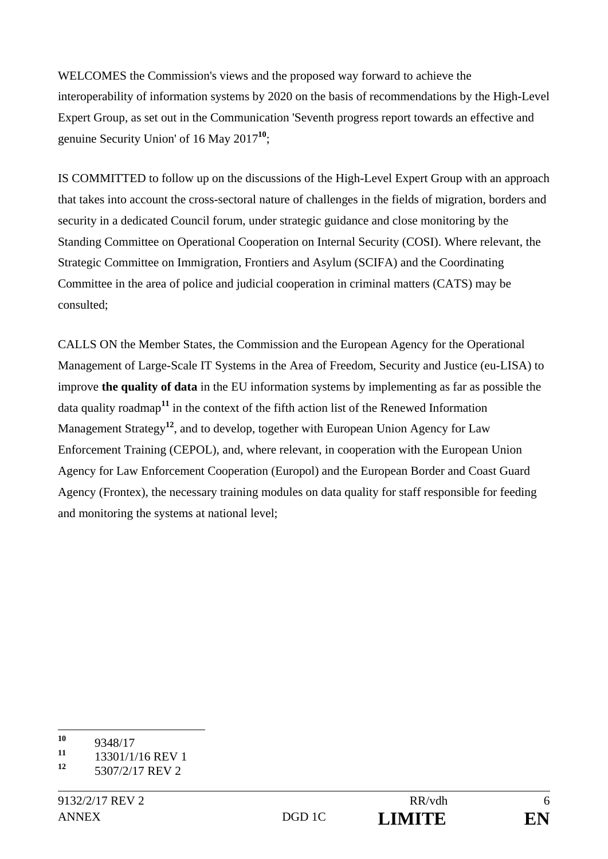WELCOMES the Commission's views and the proposed way forward to achieve the interoperability of information systems by 2020 on the basis of recommendations by the High-Level Expert Group, as set out in the Communication 'Seventh progress report towards an effective and genuine Security Union' of 16 May 2017**<sup>10</sup>**;

IS COMMITTED to follow up on the discussions of the High-Level Expert Group with an approach that takes into account the cross-sectoral nature of challenges in the fields of migration, borders and security in a dedicated Council forum, under strategic guidance and close monitoring by the Standing Committee on Operational Cooperation on Internal Security (COSI). Where relevant, the Strategic Committee on Immigration, Frontiers and Asylum (SCIFA) and the Coordinating Committee in the area of police and judicial cooperation in criminal matters (CATS) may be consulted;

CALLS ON the Member States, the Commission and the European Agency for the Operational Management of Large-Scale IT Systems in the Area of Freedom, Security and Justice (eu-LISA) to improve **the quality of data** in the EU information systems by implementing as far as possible the data quality roadmap**<sup>11</sup>** in the context of the fifth action list of the Renewed Information Management Strategy**<sup>12</sup>**, and to develop, together with European Union Agency for Law Enforcement Training (CEPOL), and, where relevant, in cooperation with the European Union Agency for Law Enforcement Cooperation (Europol) and the European Border and Coast Guard Agency (Frontex), the necessary training modules on data quality for staff responsible for feeding and monitoring the systems at national level;

 $10$  $\frac{10}{11}$  9348/17

 $\frac{11}{12}$  13301/1/16 REV 1

**<sup>12</sup>** 5307/2/17 REV 2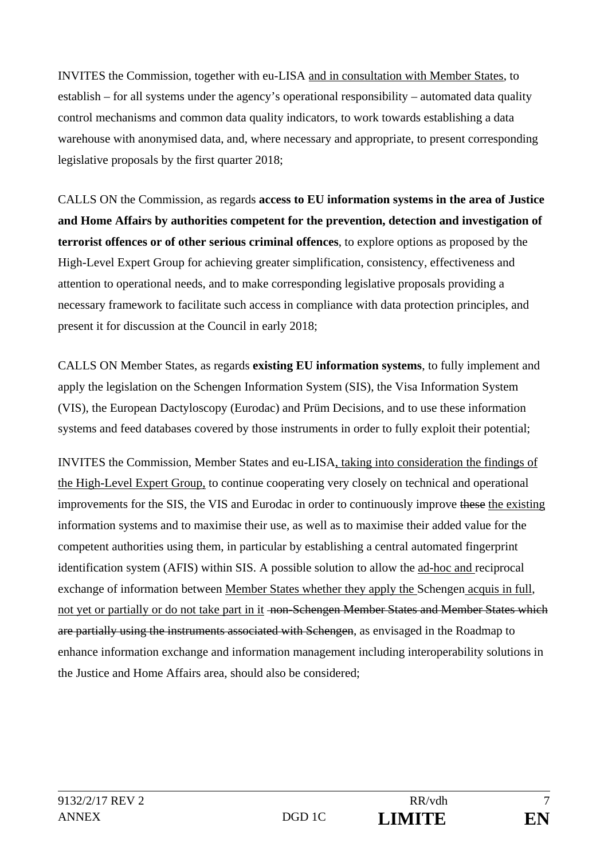INVITES the Commission, together with eu-LISA and in consultation with Member States, to establish – for all systems under the agency's operational responsibility – automated data quality control mechanisms and common data quality indicators, to work towards establishing a data warehouse with anonymised data, and, where necessary and appropriate, to present corresponding legislative proposals by the first quarter 2018;

CALLS ON the Commission, as regards **access to EU information systems in the area of Justice and Home Affairs by authorities competent for the prevention, detection and investigation of terrorist offences or of other serious criminal offences**, to explore options as proposed by the High-Level Expert Group for achieving greater simplification, consistency, effectiveness and attention to operational needs, and to make corresponding legislative proposals providing a necessary framework to facilitate such access in compliance with data protection principles, and present it for discussion at the Council in early 2018;

CALLS ON Member States, as regards **existing EU information systems**, to fully implement and apply the legislation on the Schengen Information System (SIS), the Visa Information System (VIS), the European Dactyloscopy (Eurodac) and Prüm Decisions, and to use these information systems and feed databases covered by those instruments in order to fully exploit their potential;

INVITES the Commission, Member States and eu-LISA, taking into consideration the findings of the High-Level Expert Group, to continue cooperating very closely on technical and operational improvements for the SIS, the VIS and Eurodac in order to continuously improve these the existing information systems and to maximise their use, as well as to maximise their added value for the competent authorities using them, in particular by establishing a central automated fingerprint identification system (AFIS) within SIS. A possible solution to allow the ad-hoc and reciprocal exchange of information between Member States whether they apply the Schengen acquis in full, not yet or partially or do not take part in it <del>non-Schengen Member States and Member States which</del> are partially using the instruments associated with Schengen, as envisaged in the Roadmap to enhance information exchange and information management including interoperability solutions in the Justice and Home Affairs area, should also be considered;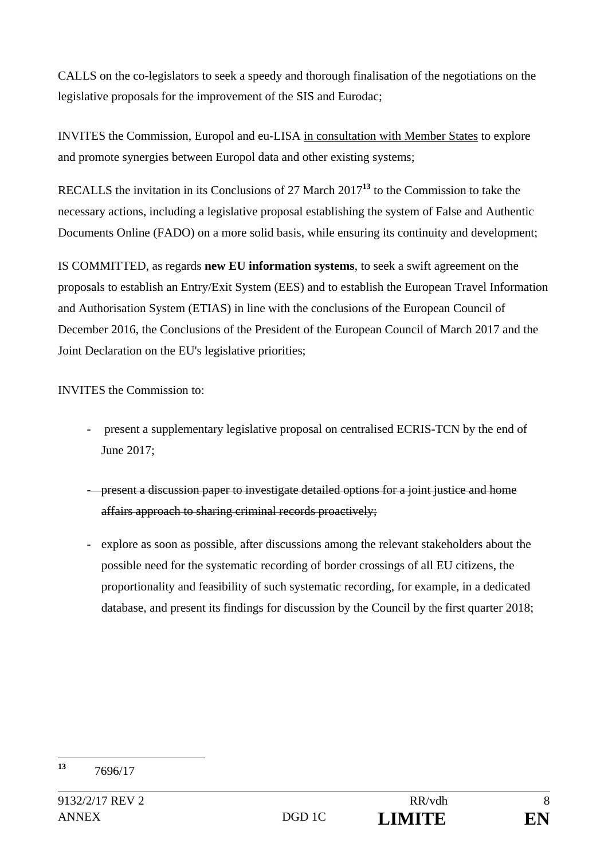CALLS on the co-legislators to seek a speedy and thorough finalisation of the negotiations on the legislative proposals for the improvement of the SIS and Eurodac;

INVITES the Commission, Europol and eu-LISA in consultation with Member States to explore and promote synergies between Europol data and other existing systems;

RECALLS the invitation in its Conclusions of 27 March 2017**<sup>13</sup>** to the Commission to take the necessary actions, including a legislative proposal establishing the system of False and Authentic Documents Online (FADO) on a more solid basis, while ensuring its continuity and development;

IS COMMITTED, as regards **new EU information systems**, to seek a swift agreement on the proposals to establish an Entry/Exit System (EES) and to establish the European Travel Information and Authorisation System (ETIAS) in line with the conclusions of the European Council of December 2016, the Conclusions of the President of the European Council of March 2017 and the Joint Declaration on the EU's legislative priorities;

INVITES the Commission to:

- present a supplementary legislative proposal on centralised ECRIS-TCN by the end of June 2017;
- present a discussion paper to investigate detailed options for a joint justice and home affairs approach to sharing criminal records proactively;
- explore as soon as possible, after discussions among the relevant stakeholders about the possible need for the systematic recording of border crossings of all EU citizens, the proportionality and feasibility of such systematic recording, for example, in a dedicated database, and present its findings for discussion by the Council by the first quarter 2018;

 $13$ **<sup>13</sup>** 7696/17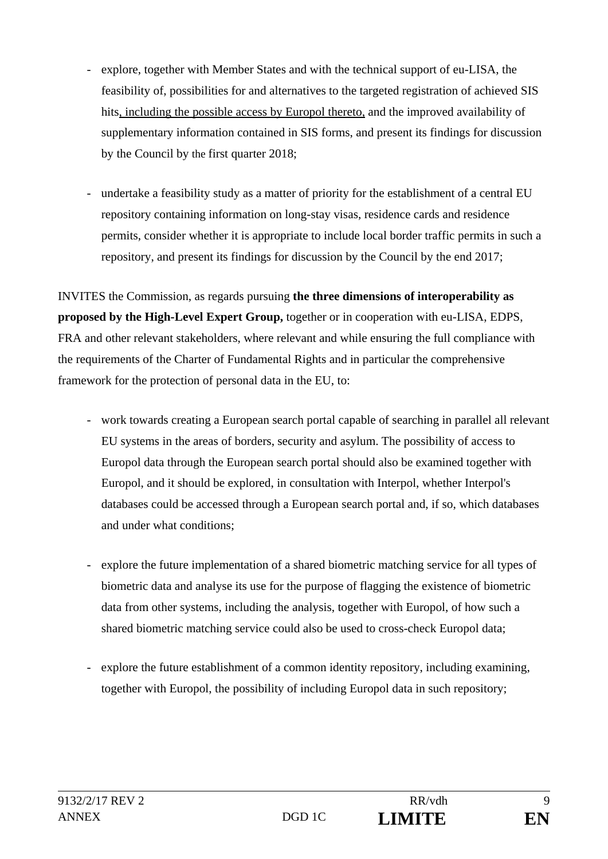- explore, together with Member States and with the technical support of eu-LISA, the feasibility of, possibilities for and alternatives to the targeted registration of achieved SIS hits, including the possible access by Europol thereto, and the improved availability of supplementary information contained in SIS forms, and present its findings for discussion by the Council by the first quarter 2018;
- undertake a feasibility study as a matter of priority for the establishment of a central EU repository containing information on long-stay visas, residence cards and residence permits, consider whether it is appropriate to include local border traffic permits in such a repository, and present its findings for discussion by the Council by the end 2017;

INVITES the Commission, as regards pursuing **the three dimensions of interoperability as proposed by the High-Level Expert Group,** together or in cooperation with eu-LISA, EDPS, FRA and other relevant stakeholders, where relevant and while ensuring the full compliance with the requirements of the Charter of Fundamental Rights and in particular the comprehensive framework for the protection of personal data in the EU, to:

- work towards creating a European search portal capable of searching in parallel all relevant EU systems in the areas of borders, security and asylum. The possibility of access to Europol data through the European search portal should also be examined together with Europol, and it should be explored, in consultation with Interpol, whether Interpol's databases could be accessed through a European search portal and, if so, which databases and under what conditions;
- explore the future implementation of a shared biometric matching service for all types of biometric data and analyse its use for the purpose of flagging the existence of biometric data from other systems, including the analysis, together with Europol, of how such a shared biometric matching service could also be used to cross-check Europol data;
- explore the future establishment of a common identity repository, including examining, together with Europol, the possibility of including Europol data in such repository;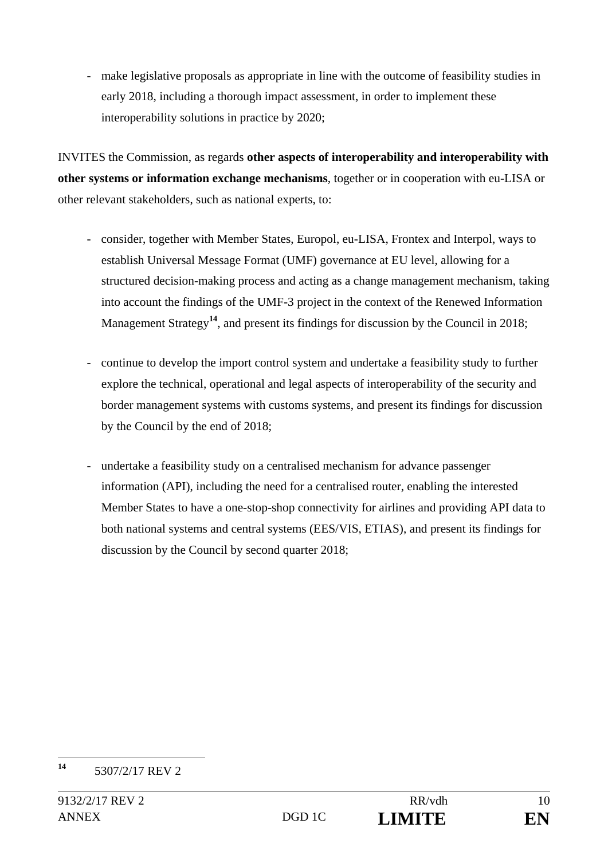- make legislative proposals as appropriate in line with the outcome of feasibility studies in early 2018, including a thorough impact assessment, in order to implement these interoperability solutions in practice by 2020;

INVITES the Commission, as regards **other aspects of interoperability and interoperability with other systems or information exchange mechanisms**, together or in cooperation with eu-LISA or other relevant stakeholders, such as national experts, to:

- consider, together with Member States, Europol, eu-LISA, Frontex and Interpol, ways to establish Universal Message Format (UMF) governance at EU level, allowing for a structured decision-making process and acting as a change management mechanism, taking into account the findings of the UMF-3 project in the context of the Renewed Information Management Strategy<sup>14</sup>, and present its findings for discussion by the Council in 2018;
- continue to develop the import control system and undertake a feasibility study to further explore the technical, operational and legal aspects of interoperability of the security and border management systems with customs systems, and present its findings for discussion by the Council by the end of 2018;
- undertake a feasibility study on a centralised mechanism for advance passenger information (API), including the need for a centralised router, enabling the interested Member States to have a one-stop-shop connectivity for airlines and providing API data to both national systems and central systems (EES/VIS, ETIAS), and present its findings for discussion by the Council by second quarter 2018;

 $14$ **<sup>14</sup>** 5307/2/17 REV 2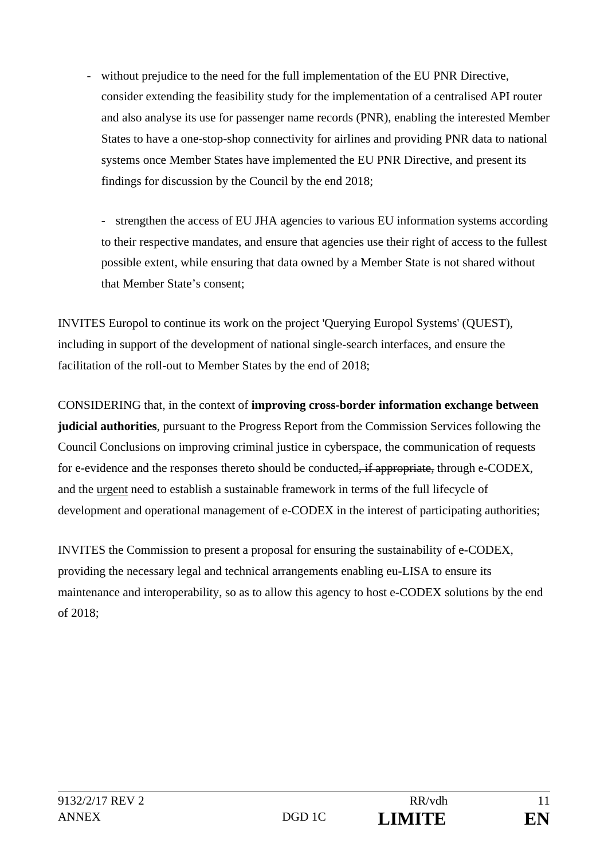- without prejudice to the need for the full implementation of the EU PNR Directive, consider extending the feasibility study for the implementation of a centralised API router and also analyse its use for passenger name records (PNR), enabling the interested Member States to have a one-stop-shop connectivity for airlines and providing PNR data to national systems once Member States have implemented the EU PNR Directive, and present its findings for discussion by the Council by the end 2018;

- strengthen the access of EU JHA agencies to various EU information systems according to their respective mandates, and ensure that agencies use their right of access to the fullest possible extent, while ensuring that data owned by a Member State is not shared without that Member State's consent;

INVITES Europol to continue its work on the project 'Querying Europol Systems' (QUEST), including in support of the development of national single-search interfaces, and ensure the facilitation of the roll-out to Member States by the end of 2018;

CONSIDERING that, in the context of **improving cross-border information exchange between judicial authorities**, pursuant to the Progress Report from the Commission Services following the Council Conclusions on improving criminal justice in cyberspace, the communication of requests for e-evidence and the responses thereto should be conducted, if appropriate, through e-CODEX, and the urgent need to establish a sustainable framework in terms of the full lifecycle of development and operational management of e-CODEX in the interest of participating authorities;

INVITES the Commission to present a proposal for ensuring the sustainability of e-CODEX, providing the necessary legal and technical arrangements enabling eu-LISA to ensure its maintenance and interoperability, so as to allow this agency to host e-CODEX solutions by the end of 2018;